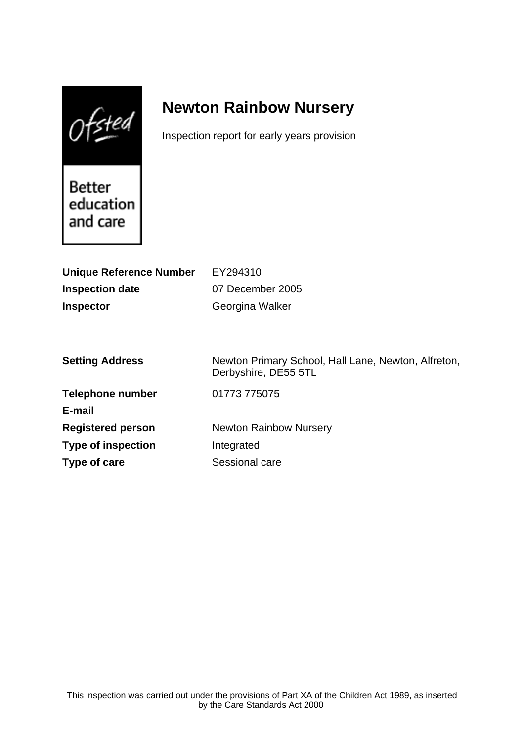$0$ fsted

# **Newton Rainbow Nursery**

Inspection report for early years provision

Better education and care

| <b>Unique Reference Number</b> | EY294310                                                                    |
|--------------------------------|-----------------------------------------------------------------------------|
| <b>Inspection date</b>         | 07 December 2005                                                            |
| <b>Inspector</b>               | Georgina Walker                                                             |
|                                |                                                                             |
|                                |                                                                             |
| <b>Setting Address</b>         | Newton Primary School, Hall Lane, Newton, Alfreton,<br>Derbyshire, DE55 5TL |
| <b>Telephone number</b>        | 01773 775075                                                                |
| E-mail                         |                                                                             |
| <b>Registered person</b>       | <b>Newton Rainbow Nursery</b>                                               |
| <b>Type of inspection</b>      | Integrated                                                                  |
| Type of care                   | Sessional care                                                              |
|                                |                                                                             |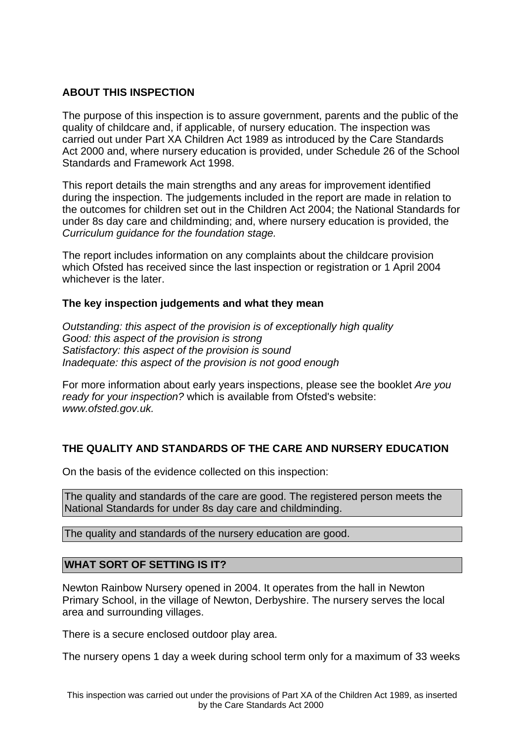# **ABOUT THIS INSPECTION**

The purpose of this inspection is to assure government, parents and the public of the quality of childcare and, if applicable, of nursery education. The inspection was carried out under Part XA Children Act 1989 as introduced by the Care Standards Act 2000 and, where nursery education is provided, under Schedule 26 of the School Standards and Framework Act 1998.

This report details the main strengths and any areas for improvement identified during the inspection. The judgements included in the report are made in relation to the outcomes for children set out in the Children Act 2004; the National Standards for under 8s day care and childminding; and, where nursery education is provided, the Curriculum guidance for the foundation stage.

The report includes information on any complaints about the childcare provision which Ofsted has received since the last inspection or registration or 1 April 2004 whichever is the later.

# **The key inspection judgements and what they mean**

Outstanding: this aspect of the provision is of exceptionally high quality Good: this aspect of the provision is strong Satisfactory: this aspect of the provision is sound Inadequate: this aspect of the provision is not good enough

For more information about early years inspections, please see the booklet Are you ready for your inspection? which is available from Ofsted's website: www.ofsted.gov.uk.

# **THE QUALITY AND STANDARDS OF THE CARE AND NURSERY EDUCATION**

On the basis of the evidence collected on this inspection:

The quality and standards of the care are good. The registered person meets the National Standards for under 8s day care and childminding.

The quality and standards of the nursery education are good.

# **WHAT SORT OF SETTING IS IT?**

Newton Rainbow Nursery opened in 2004. It operates from the hall in Newton Primary School, in the village of Newton, Derbyshire. The nursery serves the local area and surrounding villages.

There is a secure enclosed outdoor play area.

The nursery opens 1 day a week during school term only for a maximum of 33 weeks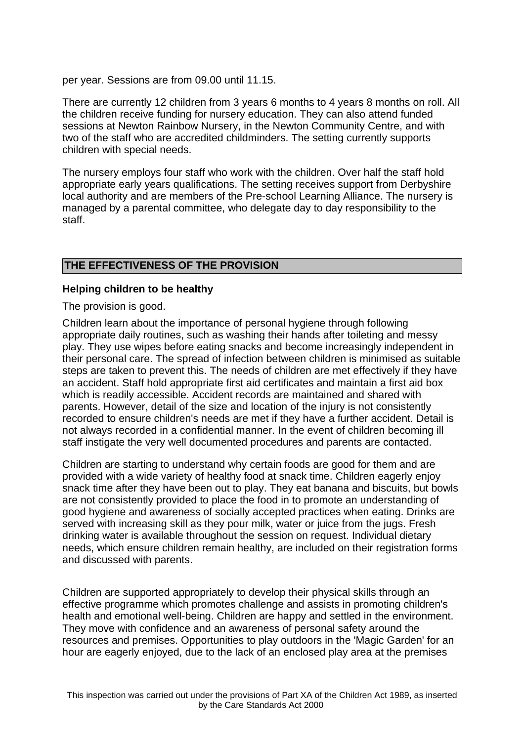per year. Sessions are from 09.00 until 11.15.

There are currently 12 children from 3 years 6 months to 4 years 8 months on roll. All the children receive funding for nursery education. They can also attend funded sessions at Newton Rainbow Nursery, in the Newton Community Centre, and with two of the staff who are accredited childminders. The setting currently supports children with special needs.

The nursery employs four staff who work with the children. Over half the staff hold appropriate early years qualifications. The setting receives support from Derbyshire local authority and are members of the Pre-school Learning Alliance. The nursery is managed by a parental committee, who delegate day to day responsibility to the staff.

# **THE EFFECTIVENESS OF THE PROVISION**

#### **Helping children to be healthy**

The provision is good.

Children learn about the importance of personal hygiene through following appropriate daily routines, such as washing their hands after toileting and messy play. They use wipes before eating snacks and become increasingly independent in their personal care. The spread of infection between children is minimised as suitable steps are taken to prevent this. The needs of children are met effectively if they have an accident. Staff hold appropriate first aid certificates and maintain a first aid box which is readily accessible. Accident records are maintained and shared with parents. However, detail of the size and location of the injury is not consistently recorded to ensure children's needs are met if they have a further accident. Detail is not always recorded in a confidential manner. In the event of children becoming ill staff instigate the very well documented procedures and parents are contacted.

Children are starting to understand why certain foods are good for them and are provided with a wide variety of healthy food at snack time. Children eagerly enjoy snack time after they have been out to play. They eat banana and biscuits, but bowls are not consistently provided to place the food in to promote an understanding of good hygiene and awareness of socially accepted practices when eating. Drinks are served with increasing skill as they pour milk, water or juice from the jugs. Fresh drinking water is available throughout the session on request. Individual dietary needs, which ensure children remain healthy, are included on their registration forms and discussed with parents.

Children are supported appropriately to develop their physical skills through an effective programme which promotes challenge and assists in promoting children's health and emotional well-being. Children are happy and settled in the environment. They move with confidence and an awareness of personal safety around the resources and premises. Opportunities to play outdoors in the 'Magic Garden' for an hour are eagerly enjoyed, due to the lack of an enclosed play area at the premises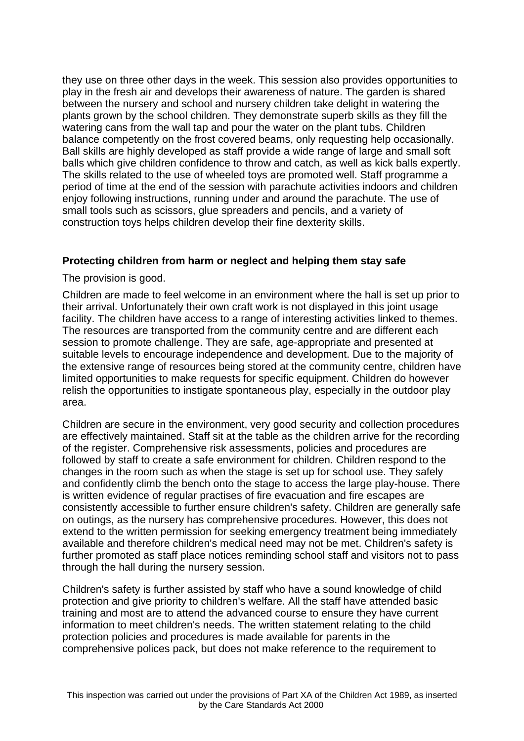they use on three other days in the week. This session also provides opportunities to play in the fresh air and develops their awareness of nature. The garden is shared between the nursery and school and nursery children take delight in watering the plants grown by the school children. They demonstrate superb skills as they fill the watering cans from the wall tap and pour the water on the plant tubs. Children balance competently on the frost covered beams, only requesting help occasionally. Ball skills are highly developed as staff provide a wide range of large and small soft balls which give children confidence to throw and catch, as well as kick balls expertly. The skills related to the use of wheeled toys are promoted well. Staff programme a period of time at the end of the session with parachute activities indoors and children enjoy following instructions, running under and around the parachute. The use of small tools such as scissors, glue spreaders and pencils, and a variety of construction toys helps children develop their fine dexterity skills.

# **Protecting children from harm or neglect and helping them stay safe**

The provision is good.

Children are made to feel welcome in an environment where the hall is set up prior to their arrival. Unfortunately their own craft work is not displayed in this joint usage facility. The children have access to a range of interesting activities linked to themes. The resources are transported from the community centre and are different each session to promote challenge. They are safe, age-appropriate and presented at suitable levels to encourage independence and development. Due to the majority of the extensive range of resources being stored at the community centre, children have limited opportunities to make requests for specific equipment. Children do however relish the opportunities to instigate spontaneous play, especially in the outdoor play area.

Children are secure in the environment, very good security and collection procedures are effectively maintained. Staff sit at the table as the children arrive for the recording of the register. Comprehensive risk assessments, policies and procedures are followed by staff to create a safe environment for children. Children respond to the changes in the room such as when the stage is set up for school use. They safely and confidently climb the bench onto the stage to access the large play-house. There is written evidence of regular practises of fire evacuation and fire escapes are consistently accessible to further ensure children's safety. Children are generally safe on outings, as the nursery has comprehensive procedures. However, this does not extend to the written permission for seeking emergency treatment being immediately available and therefore children's medical need may not be met. Children's safety is further promoted as staff place notices reminding school staff and visitors not to pass through the hall during the nursery session.

Children's safety is further assisted by staff who have a sound knowledge of child protection and give priority to children's welfare. All the staff have attended basic training and most are to attend the advanced course to ensure they have current information to meet children's needs. The written statement relating to the child protection policies and procedures is made available for parents in the comprehensive polices pack, but does not make reference to the requirement to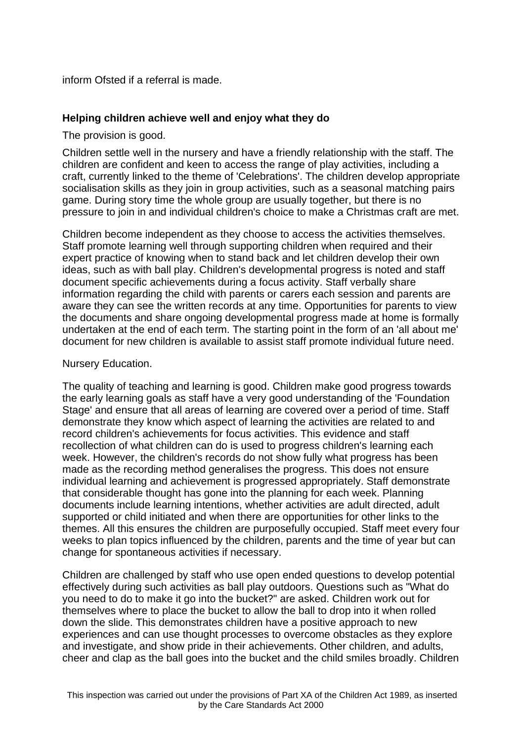inform Ofsted if a referral is made.

### **Helping children achieve well and enjoy what they do**

The provision is good.

Children settle well in the nursery and have a friendly relationship with the staff. The children are confident and keen to access the range of play activities, including a craft, currently linked to the theme of 'Celebrations'. The children develop appropriate socialisation skills as they join in group activities, such as a seasonal matching pairs game. During story time the whole group are usually together, but there is no pressure to join in and individual children's choice to make a Christmas craft are met.

Children become independent as they choose to access the activities themselves. Staff promote learning well through supporting children when required and their expert practice of knowing when to stand back and let children develop their own ideas, such as with ball play. Children's developmental progress is noted and staff document specific achievements during a focus activity. Staff verbally share information regarding the child with parents or carers each session and parents are aware they can see the written records at any time. Opportunities for parents to view the documents and share ongoing developmental progress made at home is formally undertaken at the end of each term. The starting point in the form of an 'all about me' document for new children is available to assist staff promote individual future need.

#### Nursery Education.

The quality of teaching and learning is good. Children make good progress towards the early learning goals as staff have a very good understanding of the 'Foundation Stage' and ensure that all areas of learning are covered over a period of time. Staff demonstrate they know which aspect of learning the activities are related to and record children's achievements for focus activities. This evidence and staff recollection of what children can do is used to progress children's learning each week. However, the children's records do not show fully what progress has been made as the recording method generalises the progress. This does not ensure individual learning and achievement is progressed appropriately. Staff demonstrate that considerable thought has gone into the planning for each week. Planning documents include learning intentions, whether activities are adult directed, adult supported or child initiated and when there are opportunities for other links to the themes. All this ensures the children are purposefully occupied. Staff meet every four weeks to plan topics influenced by the children, parents and the time of year but can change for spontaneous activities if necessary.

Children are challenged by staff who use open ended questions to develop potential effectively during such activities as ball play outdoors. Questions such as "What do you need to do to make it go into the bucket?" are asked. Children work out for themselves where to place the bucket to allow the ball to drop into it when rolled down the slide. This demonstrates children have a positive approach to new experiences and can use thought processes to overcome obstacles as they explore and investigate, and show pride in their achievements. Other children, and adults, cheer and clap as the ball goes into the bucket and the child smiles broadly. Children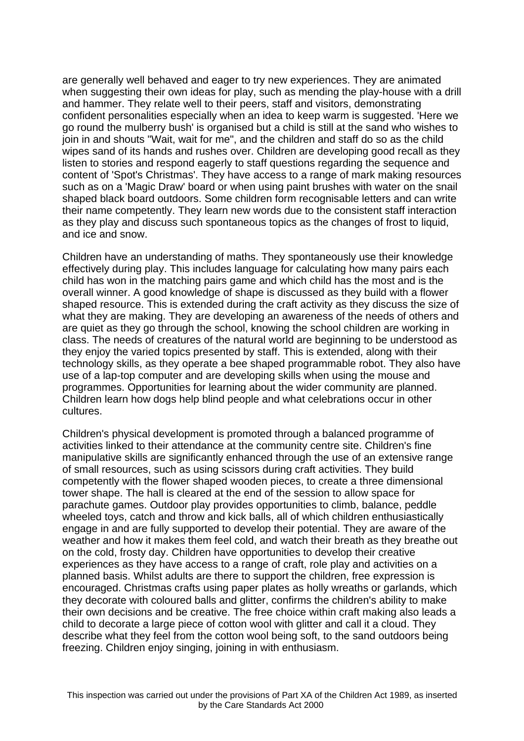are generally well behaved and eager to try new experiences. They are animated when suggesting their own ideas for play, such as mending the play-house with a drill and hammer. They relate well to their peers, staff and visitors, demonstrating confident personalities especially when an idea to keep warm is suggested. 'Here we go round the mulberry bush' is organised but a child is still at the sand who wishes to join in and shouts "Wait, wait for me", and the children and staff do so as the child wipes sand of its hands and rushes over. Children are developing good recall as they listen to stories and respond eagerly to staff questions regarding the sequence and content of 'Spot's Christmas'. They have access to a range of mark making resources such as on a 'Magic Draw' board or when using paint brushes with water on the snail shaped black board outdoors. Some children form recognisable letters and can write their name competently. They learn new words due to the consistent staff interaction as they play and discuss such spontaneous topics as the changes of frost to liquid, and ice and snow.

Children have an understanding of maths. They spontaneously use their knowledge effectively during play. This includes language for calculating how many pairs each child has won in the matching pairs game and which child has the most and is the overall winner. A good knowledge of shape is discussed as they build with a flower shaped resource. This is extended during the craft activity as they discuss the size of what they are making. They are developing an awareness of the needs of others and are quiet as they go through the school, knowing the school children are working in class. The needs of creatures of the natural world are beginning to be understood as they enjoy the varied topics presented by staff. This is extended, along with their technology skills, as they operate a bee shaped programmable robot. They also have use of a lap-top computer and are developing skills when using the mouse and programmes. Opportunities for learning about the wider community are planned. Children learn how dogs help blind people and what celebrations occur in other cultures.

Children's physical development is promoted through a balanced programme of activities linked to their attendance at the community centre site. Children's fine manipulative skills are significantly enhanced through the use of an extensive range of small resources, such as using scissors during craft activities. They build competently with the flower shaped wooden pieces, to create a three dimensional tower shape. The hall is cleared at the end of the session to allow space for parachute games. Outdoor play provides opportunities to climb, balance, peddle wheeled toys, catch and throw and kick balls, all of which children enthusiastically engage in and are fully supported to develop their potential. They are aware of the weather and how it makes them feel cold, and watch their breath as they breathe out on the cold, frosty day. Children have opportunities to develop their creative experiences as they have access to a range of craft, role play and activities on a planned basis. Whilst adults are there to support the children, free expression is encouraged. Christmas crafts using paper plates as holly wreaths or garlands, which they decorate with coloured balls and glitter, confirms the children's ability to make their own decisions and be creative. The free choice within craft making also leads a child to decorate a large piece of cotton wool with glitter and call it a cloud. They describe what they feel from the cotton wool being soft, to the sand outdoors being freezing. Children enjoy singing, joining in with enthusiasm.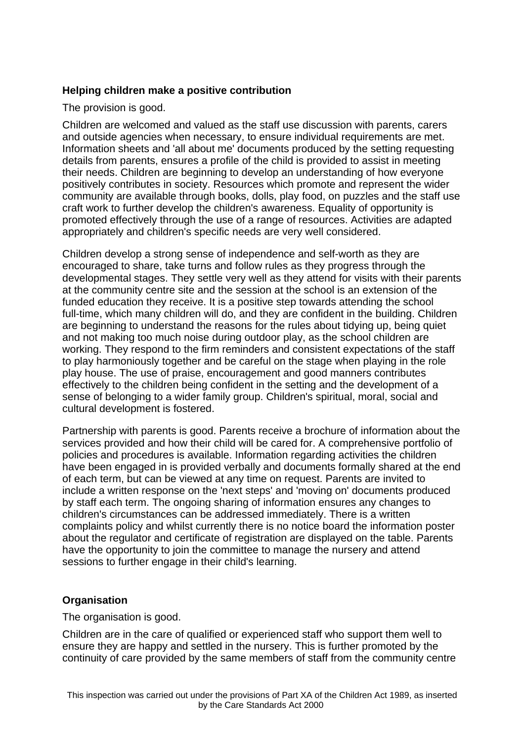# **Helping children make a positive contribution**

The provision is good.

Children are welcomed and valued as the staff use discussion with parents, carers and outside agencies when necessary, to ensure individual requirements are met. Information sheets and 'all about me' documents produced by the setting requesting details from parents, ensures a profile of the child is provided to assist in meeting their needs. Children are beginning to develop an understanding of how everyone positively contributes in society. Resources which promote and represent the wider community are available through books, dolls, play food, on puzzles and the staff use craft work to further develop the children's awareness. Equality of opportunity is promoted effectively through the use of a range of resources. Activities are adapted appropriately and children's specific needs are very well considered.

Children develop a strong sense of independence and self-worth as they are encouraged to share, take turns and follow rules as they progress through the developmental stages. They settle very well as they attend for visits with their parents at the community centre site and the session at the school is an extension of the funded education they receive. It is a positive step towards attending the school full-time, which many children will do, and they are confident in the building. Children are beginning to understand the reasons for the rules about tidying up, being quiet and not making too much noise during outdoor play, as the school children are working. They respond to the firm reminders and consistent expectations of the staff to play harmoniously together and be careful on the stage when playing in the role play house. The use of praise, encouragement and good manners contributes effectively to the children being confident in the setting and the development of a sense of belonging to a wider family group. Children's spiritual, moral, social and cultural development is fostered.

Partnership with parents is good. Parents receive a brochure of information about the services provided and how their child will be cared for. A comprehensive portfolio of policies and procedures is available. Information regarding activities the children have been engaged in is provided verbally and documents formally shared at the end of each term, but can be viewed at any time on request. Parents are invited to include a written response on the 'next steps' and 'moving on' documents produced by staff each term. The ongoing sharing of information ensures any changes to children's circumstances can be addressed immediately. There is a written complaints policy and whilst currently there is no notice board the information poster about the regulator and certificate of registration are displayed on the table. Parents have the opportunity to join the committee to manage the nursery and attend sessions to further engage in their child's learning.

# **Organisation**

The organisation is good.

Children are in the care of qualified or experienced staff who support them well to ensure they are happy and settled in the nursery. This is further promoted by the continuity of care provided by the same members of staff from the community centre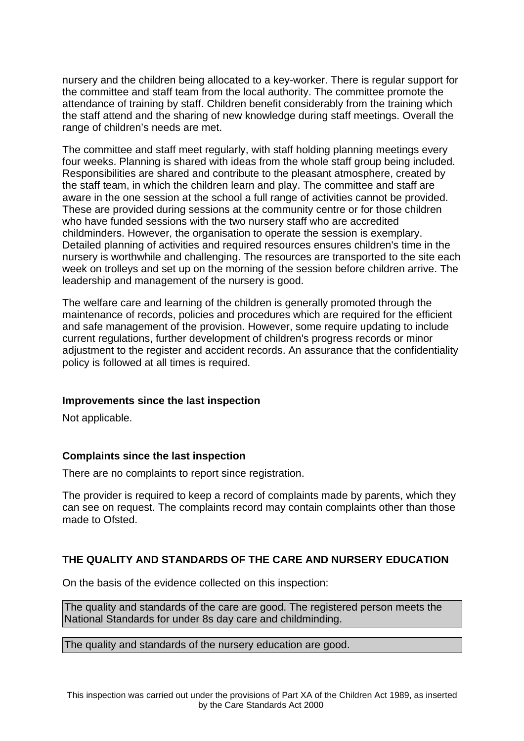nursery and the children being allocated to a key-worker. There is regular support for the committee and staff team from the local authority. The committee promote the attendance of training by staff. Children benefit considerably from the training which the staff attend and the sharing of new knowledge during staff meetings. Overall the range of children's needs are met.

The committee and staff meet regularly, with staff holding planning meetings every four weeks. Planning is shared with ideas from the whole staff group being included. Responsibilities are shared and contribute to the pleasant atmosphere, created by the staff team, in which the children learn and play. The committee and staff are aware in the one session at the school a full range of activities cannot be provided. These are provided during sessions at the community centre or for those children who have funded sessions with the two nursery staff who are accredited childminders. However, the organisation to operate the session is exemplary. Detailed planning of activities and required resources ensures children's time in the nursery is worthwhile and challenging. The resources are transported to the site each week on trolleys and set up on the morning of the session before children arrive. The leadership and management of the nursery is good.

The welfare care and learning of the children is generally promoted through the maintenance of records, policies and procedures which are required for the efficient and safe management of the provision. However, some require updating to include current regulations, further development of children's progress records or minor adjustment to the register and accident records. An assurance that the confidentiality policy is followed at all times is required.

#### **Improvements since the last inspection**

Not applicable.

# **Complaints since the last inspection**

There are no complaints to report since registration.

The provider is required to keep a record of complaints made by parents, which they can see on request. The complaints record may contain complaints other than those made to Ofsted.

# **THE QUALITY AND STANDARDS OF THE CARE AND NURSERY EDUCATION**

On the basis of the evidence collected on this inspection:

The quality and standards of the care are good. The registered person meets the National Standards for under 8s day care and childminding.

The quality and standards of the nursery education are good.